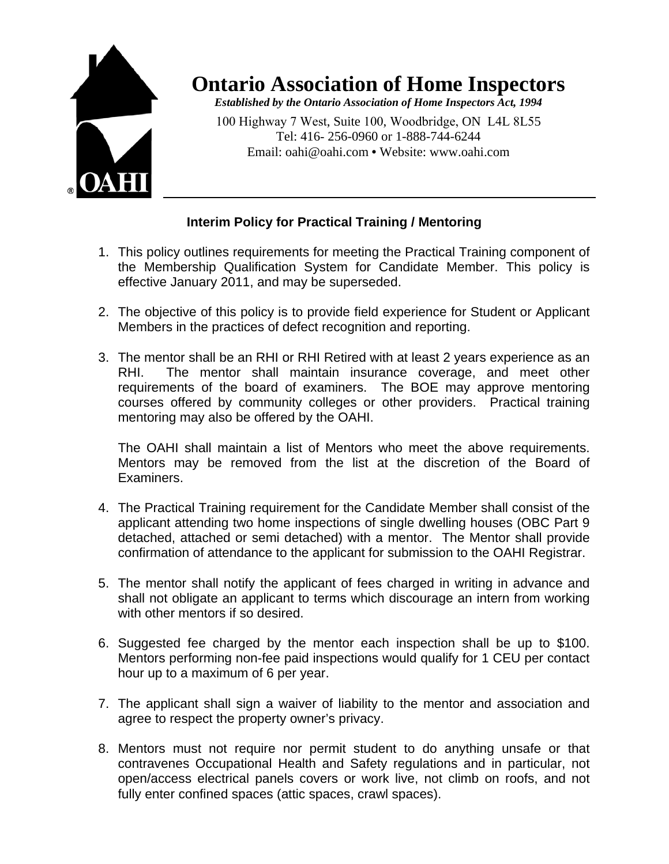

## **Ontario Association of Home Inspectors**

*Established by the Ontario Association of Home Inspectors Act, 1994* 

100 Highway 7 West, Suite 100, Woodbridge, ON L4L 8L55 Tel: 416- 256-0960 or 1-888-744-6244 Email: oahi@oahi.com **•** Website: www.oahi.com

## **Interim Policy for Practical Training / Mentoring**

- 1. This policy outlines requirements for meeting the Practical Training component of the Membership Qualification System for Candidate Member. This policy is effective January 2011, and may be superseded.
- 2. The objective of this policy is to provide field experience for Student or Applicant Members in the practices of defect recognition and reporting.
- 3. The mentor shall be an RHI or RHI Retired with at least 2 years experience as an RHI. The mentor shall maintain insurance coverage, and meet other requirements of the board of examiners. The BOE may approve mentoring courses offered by community colleges or other providers. Practical training mentoring may also be offered by the OAHI.

The OAHI shall maintain a list of Mentors who meet the above requirements. Mentors may be removed from the list at the discretion of the Board of Examiners.

- 4. The Practical Training requirement for the Candidate Member shall consist of the applicant attending two home inspections of single dwelling houses (OBC Part 9 detached, attached or semi detached) with a mentor. The Mentor shall provide confirmation of attendance to the applicant for submission to the OAHI Registrar.
- 5. The mentor shall notify the applicant of fees charged in writing in advance and shall not obligate an applicant to terms which discourage an intern from working with other mentors if so desired.
- 6. Suggested fee charged by the mentor each inspection shall be up to \$100. Mentors performing non-fee paid inspections would qualify for 1 CEU per contact hour up to a maximum of 6 per year.
- 7. The applicant shall sign a waiver of liability to the mentor and association and agree to respect the property owner's privacy.
- 8. Mentors must not require nor permit student to do anything unsafe or that contravenes Occupational Health and Safety regulations and in particular, not open/access electrical panels covers or work live, not climb on roofs, and not fully enter confined spaces (attic spaces, crawl spaces).